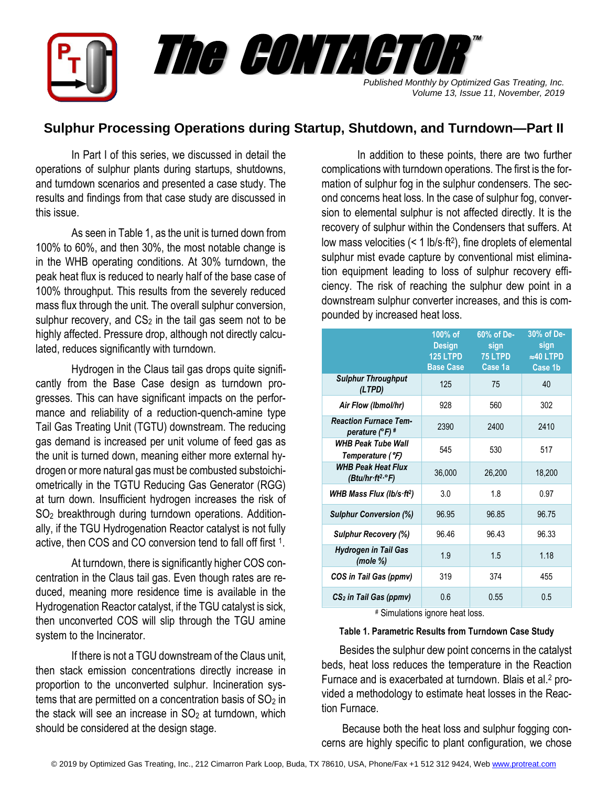

# **Sulphur Processing Operations during Startup, Shutdown, and Turndown—Part II**

In Part I of this series, we discussed in detail the operations of sulphur plants during startups, shutdowns, and turndown scenarios and presented a case study. The results and findings from that case study are discussed in this issue.

As seen in Table 1, as the unit is turned down from 100% to 60%, and then 30%, the most notable change is in the WHB operating conditions. At 30% turndown, the peak heat flux is reduced to nearly half of the base case of 100% throughput. This results from the severely reduced mass flux through the unit. The overall sulphur conversion, sulphur recovery, and  $CS<sub>2</sub>$  in the tail gas seem not to be highly affected. Pressure drop, although not directly calculated, reduces significantly with turndown.

Hydrogen in the Claus tail gas drops quite significantly from the Base Case design as turndown progresses. This can have significant impacts on the performance and reliability of a reduction-quench-amine type Tail Gas Treating Unit (TGTU) downstream. The reducing gas demand is increased per unit volume of feed gas as the unit is turned down, meaning either more external hydrogen or more natural gas must be combusted substoichiometrically in the TGTU Reducing Gas Generator (RGG) at turn down. Insufficient hydrogen increases the risk of SO<sup>2</sup> breakthrough during turndown operations. Additionally, if the TGU Hydrogenation Reactor catalyst is not fully active, then COS and CO conversion tend to fall off first 1.

At turndown, there is significantly higher COS concentration in the Claus tail gas. Even though rates are reduced, meaning more residence time is available in the Hydrogenation Reactor catalyst, if the TGU catalyst is sick, then unconverted COS will slip through the TGU amine system to the Incinerator.

If there is not a TGU downstream of the Claus unit, then stack emission concentrations directly increase in proportion to the unconverted sulphur. Incineration systems that are permitted on a concentration basis of  $SO<sub>2</sub>$  in the stack will see an increase in  $SO<sub>2</sub>$  at turndown, which should be considered at the design stage.

In addition to these points, there are two further complications with turndown operations. The first is the formation of sulphur fog in the sulphur condensers. The second concerns heat loss. In the case of sulphur fog, conversion to elemental sulphur is not affected directly. It is the recovery of sulphur within the Condensers that suffers. At low mass velocities (< 1 lb/s·ft<sup>2</sup>), fine droplets of elemental sulphur mist evade capture by conventional mist elimination equipment leading to loss of sulphur recovery efficiency. The risk of reaching the sulphur dew point in a downstream sulphur converter increases, and this is compounded by increased heat loss.

|                                                          | 100% of<br><b>Design</b><br>125 LTPD<br><b>Base Case</b> | 60% of De-<br>sign<br>75 LTPD<br>Case 1a | 30% of De-<br>sign<br>$\approx$ 40 LTPD<br>Case 1b |
|----------------------------------------------------------|----------------------------------------------------------|------------------------------------------|----------------------------------------------------|
| <b>Sulphur Throughput</b><br>(LTPD)                      | 125                                                      | 75                                       | 40                                                 |
| Air Flow (Ibmol/hr)                                      | 928                                                      | 560                                      | 302                                                |
| <b>Reaction Furnace Tem-</b><br>perature $(^{\circ}F)$ # | 2390                                                     | 2400                                     | 2410                                               |
| <b>WHB Peak Tube Wall</b><br>Temperature (°F)            | 545                                                      | 530                                      | 517                                                |
| <b>WHB Peak Heat Flux</b><br>(Btu/hr·ft²·°F)             | 36,000                                                   | 26,200                                   | 18,200                                             |
| WHB Mass Flux (lb/s $\cdot$ ft <sup>2</sup> )            | 3.0                                                      | 1.8                                      | 0.97                                               |
| <b>Sulphur Conversion (%)</b>                            | 96.95                                                    | 96.85                                    | 96.75                                              |
| <b>Sulphur Recovery (%)</b>                              | 96.46                                                    | 96.43                                    | 96.33                                              |
| <b>Hydrogen in Tail Gas</b><br>(mole %)                  | 1.9                                                      | 1.5                                      | 1.18                                               |
| COS in Tail Gas (ppmv)                                   | 319                                                      | 374                                      | 455                                                |
| $CS2$ in Tail Gas (ppmv)                                 | 0.6                                                      | 0.55                                     | 0.5                                                |

# Simulations ignore heat loss.

### **Table 1. Parametric Results from Turndown Case Study**

Besides the sulphur dew point concerns in the catalyst beds, heat loss reduces the temperature in the Reaction Furnace and is exacerbated at turndown. Blais et al.<sup>2</sup> provided a methodology to estimate heat losses in the Reaction Furnace.

Because both the heat loss and sulphur fogging concerns are highly specific to plant configuration, we chose